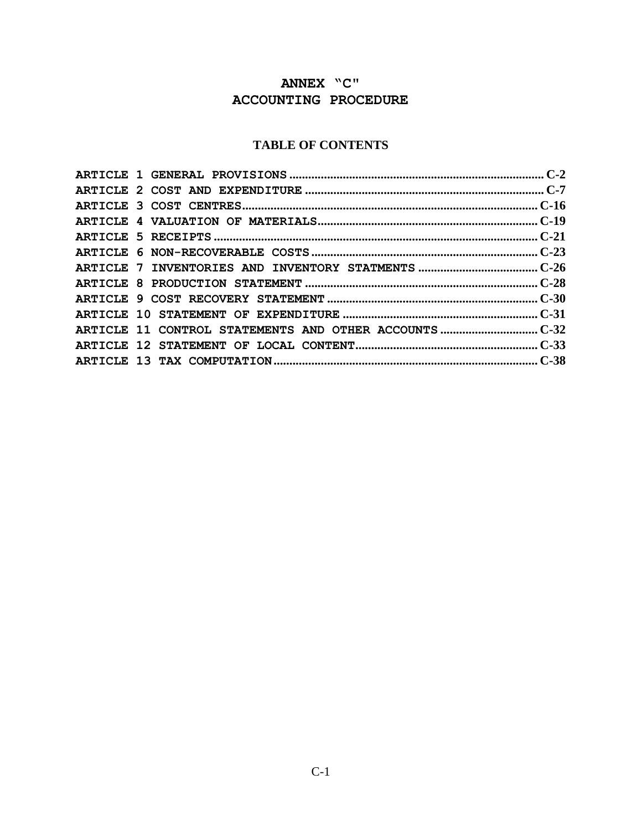# **ANNEX "C" ACCOUNTING PROCEDURE**

# **TABLE OF CONTENTS**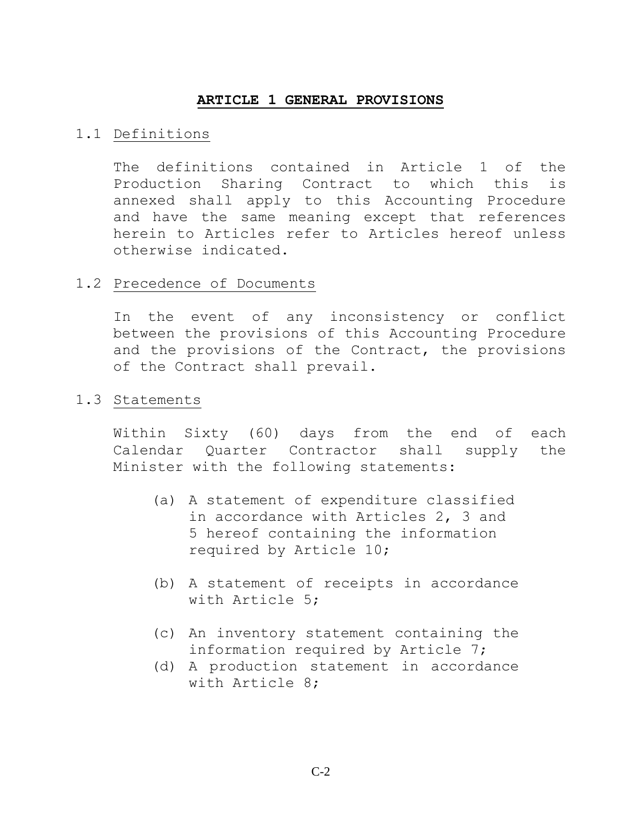#### **ARTICLE 1 GENERAL PROVISIONS**

#### <span id="page-1-0"></span>1.1 Definitions

The definitions contained in Article 1 of the Production Sharing Contract to which this is annexed shall apply to this Accounting Procedure and have the same meaning except that references herein to Articles refer to Articles hereof unless otherwise indicated.

#### 1.2 Precedence of Documents

In the event of any inconsistency or conflict between the provisions of this Accounting Procedure and the provisions of the Contract, the provisions of the Contract shall prevail.

#### 1.3 Statements

Within Sixty (60) days from the end of each Calendar Quarter Contractor shall supply the Minister with the following statements:

- (a) A statement of expenditure classified in accordance with Articles 2, 3 and 5 hereof containing the information required by Article 10;
- (b) A statement of receipts in accordance with Article 5;
- (c) An inventory statement containing the information required by Article 7;
- (d) A production statement in accordance with Article 8;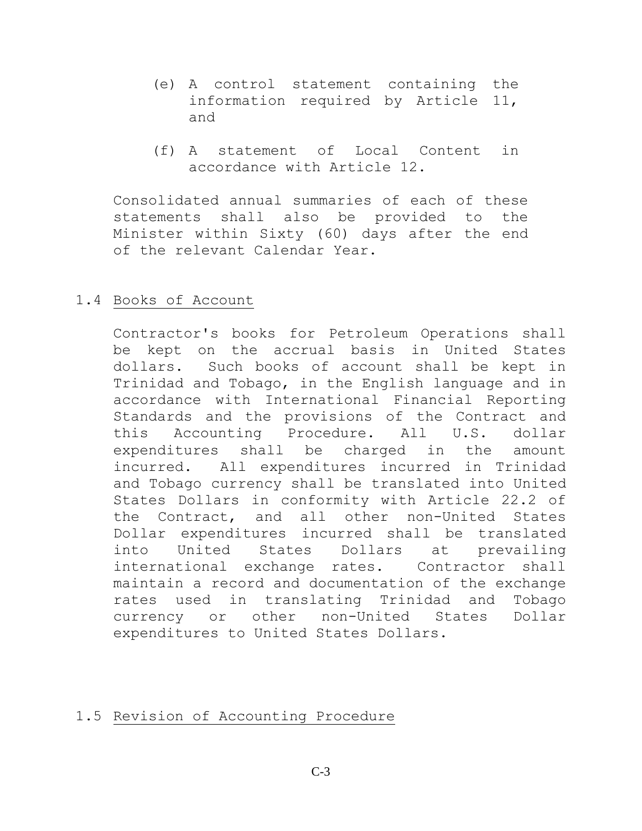- (e) A control statement containing the information required by Article 11, and
- (f) A statement of Local Content in accordance with Article 12.

Consolidated annual summaries of each of these statements shall also be provided to the Minister within Sixty (60) days after the end of the relevant Calendar Year.

## 1.4 Books of Account

Contractor's books for Petroleum Operations shall be kept on the accrual basis in United States dollars. Such books of account shall be kept in Trinidad and Tobago, in the English language and in accordance with International Financial Reporting Standards and the provisions of the Contract and this Accounting Procedure. All U.S. dollar expenditures shall be charged in the amount incurred. All expenditures incurred in Trinidad and Tobago currency shall be translated into United States Dollars in conformity with Article 22.2 of the Contract, and all other non-United States Dollar expenditures incurred shall be translated into United States Dollars at prevailing international exchange rates. Contractor shall maintain a record and documentation of the exchange rates used in translating Trinidad and Tobago currency or other non-United States Dollar expenditures to United States Dollars.

## 1.5 Revision of Accounting Procedure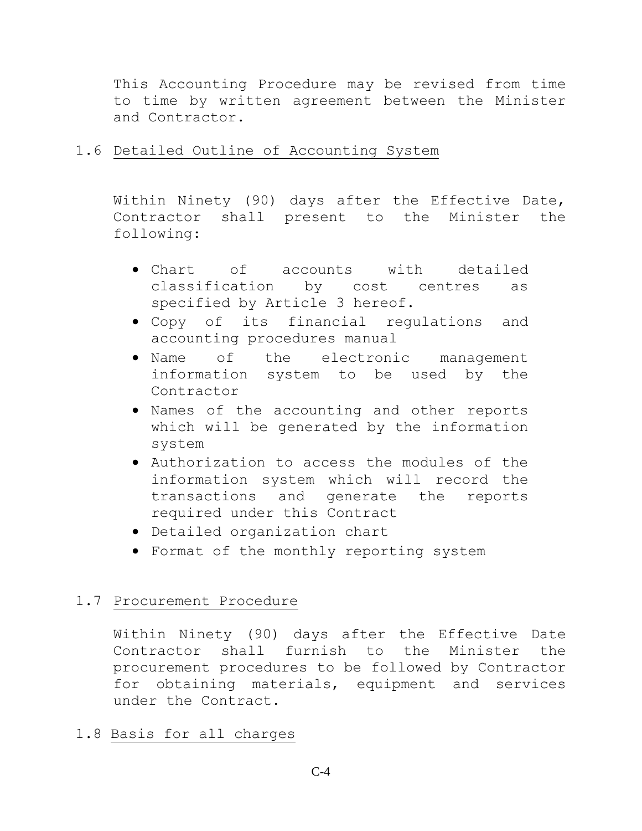This Accounting Procedure may be revised from time to time by written agreement between the Minister and Contractor.

# 1.6 Detailed Outline of Accounting System

Within Ninety (90) days after the Effective Date, Contractor shall present to the Minister the following:

- Chart of accounts with detailed classification by cost centres as specified by Article 3 hereof.
- Copy of its financial regulations and accounting procedures manual
- Name of the electronic management information system to be used by the Contractor
- Names of the accounting and other reports which will be generated by the information system
- Authorization to access the modules of the information system which will record the transactions and generate the reports required under this Contract
- Detailed organization chart
- Format of the monthly reporting system

# 1.7 Procurement Procedure

Within Ninety (90) days after the Effective Date Contractor shall furnish to the Minister the procurement procedures to be followed by Contractor for obtaining materials, equipment and services under the Contract.

## 1.8 Basis for all charges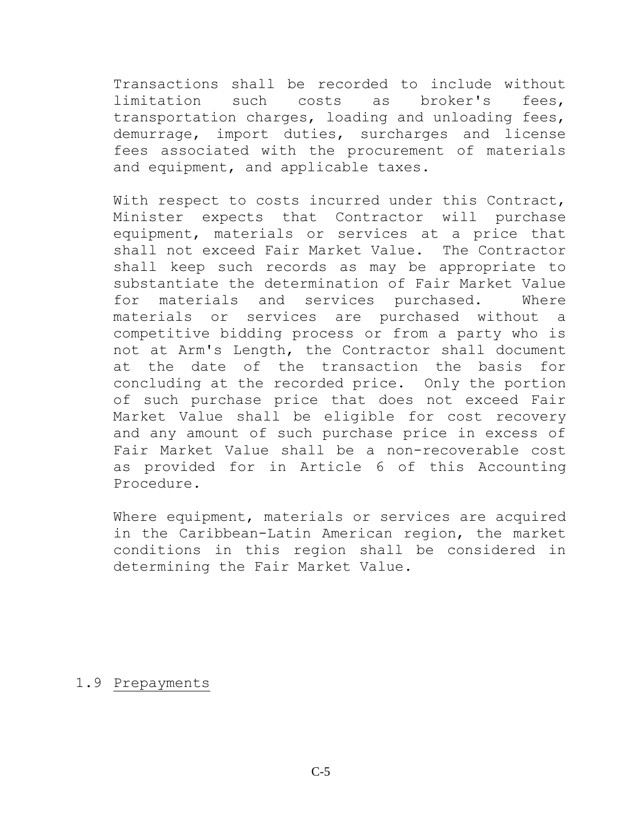Transactions shall be recorded to include without limitation such costs as broker's fees, transportation charges, loading and unloading fees, demurrage, import duties, surcharges and license fees associated with the procurement of materials and equipment, and applicable taxes.

With respect to costs incurred under this Contract, Minister expects that Contractor will purchase equipment, materials or services at a price that shall not exceed Fair Market Value. The Contractor shall keep such records as may be appropriate to substantiate the determination of Fair Market Value for materials and services purchased. Where materials or services are purchased without a competitive bidding process or from a party who is not at Arm's Length, the Contractor shall document at the date of the transaction the basis for concluding at the recorded price. Only the portion of such purchase price that does not exceed Fair Market Value shall be eligible for cost recovery and any amount of such purchase price in excess of Fair Market Value shall be a non-recoverable cost as provided for in Article 6 of this Accounting Procedure.

Where equipment, materials or services are acquired in the Caribbean-Latin American region, the market conditions in this region shall be considered in determining the Fair Market Value.

#### 1.9 Prepayments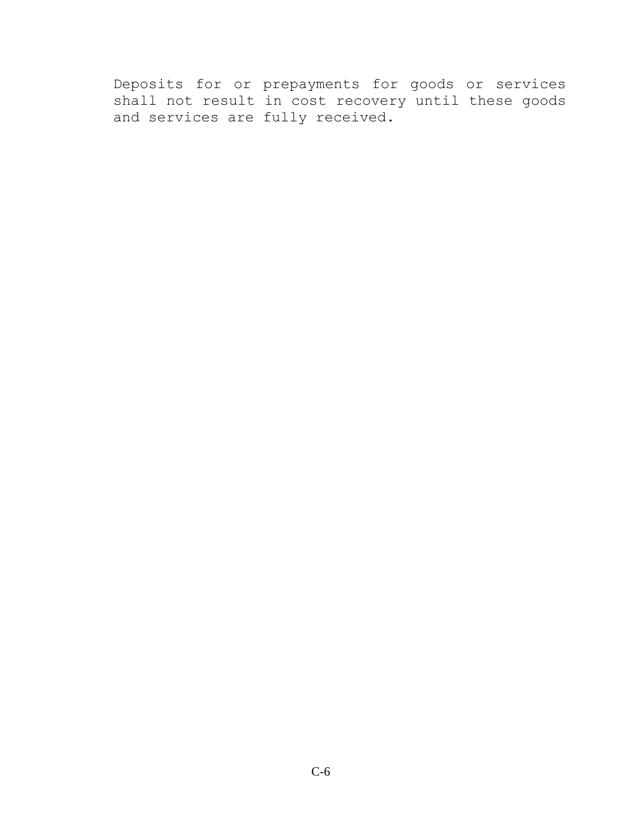Deposits for or prepayments for goods or services shall not result in cost recovery until these goods and services are fully received.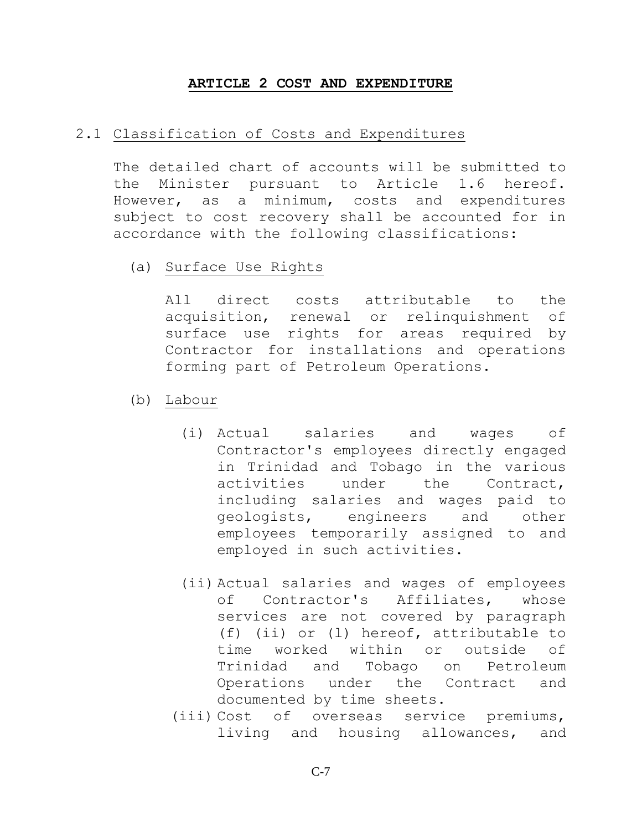#### **ARTICLE 2 COST AND EXPENDITURE**

#### <span id="page-6-0"></span>2.1 Classification of Costs and Expenditures

The detailed chart of accounts will be submitted to the Minister pursuant to Article 1.6 hereof. However, as a minimum, costs and expenditures subject to cost recovery shall be accounted for in accordance with the following classifications:

(a) Surface Use Rights

All direct costs attributable to the acquisition, renewal or relinquishment of surface use rights for areas required by Contractor for installations and operations forming part of Petroleum Operations.

- (b) Labour
	- (i) Actual salaries and wages of Contractor's employees directly engaged in Trinidad and Tobago in the various activities under the Contract, including salaries and wages paid to geologists, engineers and other employees temporarily assigned to and employed in such activities.
	- (ii) Actual salaries and wages of employees of Contractor's Affiliates, whose services are not covered by paragraph (f) (ii) or (l) hereof, attributable to time worked within or outside of Trinidad and Tobago on Petroleum Operations under the Contract and documented by time sheets.
	- (iii) Cost of overseas service premiums, living and housing allowances, and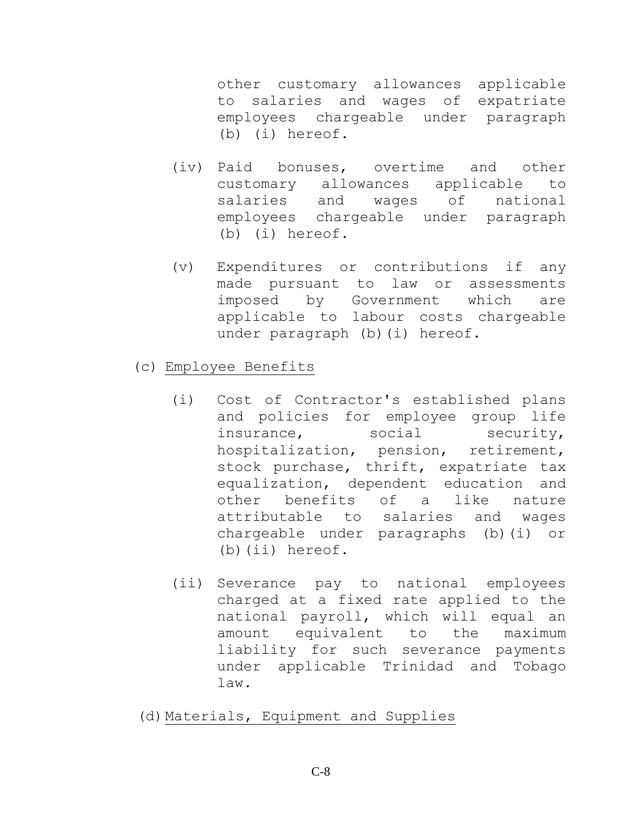other customary allowances applicable to salaries and wages of expatriate employees chargeable under paragraph (b) (i) hereof.

- (iv) Paid bonuses, overtime and other customary allowances applicable to salaries and wages of national employees chargeable under paragraph (b) (i) hereof.
- (v) Expenditures or contributions if any made pursuant to law or assessments imposed by Government which are applicable to labour costs chargeable under paragraph (b) (i) hereof.
- (c) Employee Benefits
	- (i) Cost of Contractor's established plans and policies for employee group life insurance, social security, hospitalization, pension, retirement, stock purchase, thrift, expatriate tax equalization, dependent education and other benefits of a like nature attributable to salaries and wages chargeable under paragraphs (b)(i) or (b)(ii) hereof.
	- (ii) Severance pay to national employees charged at a fixed rate applied to the national payroll, which will equal an amount equivalent to the maximum liability for such severance payments under applicable Trinidad and Tobago law.
- (d)Materials, Equipment and Supplies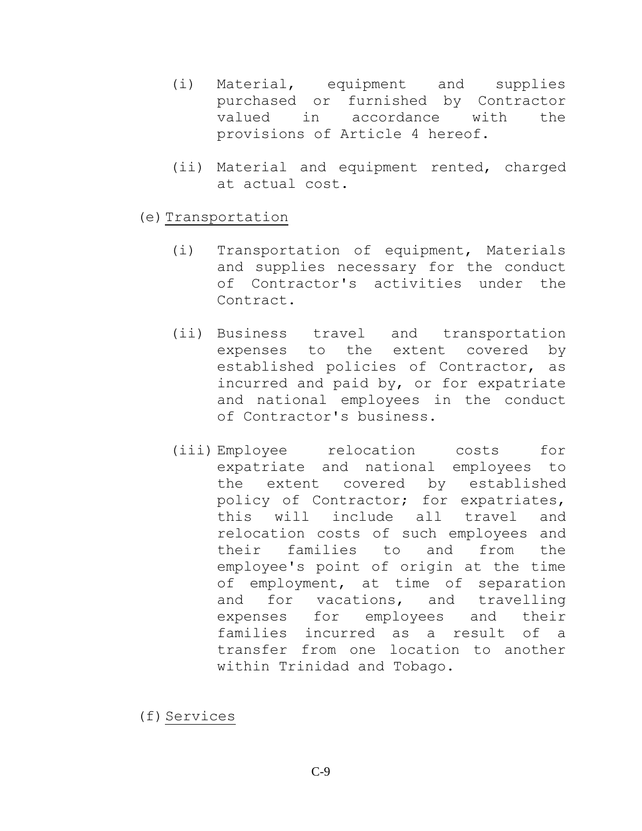- (i) Material, equipment and supplies purchased or furnished by Contractor valued in accordance with the provisions of Article 4 hereof.
- (ii) Material and equipment rented, charged at actual cost.
- (e)Transportation
	- (i) Transportation of equipment, Materials and supplies necessary for the conduct of Contractor's activities under the Contract.
	- (ii) Business travel and transportation expenses to the extent covered by established policies of Contractor, as incurred and paid by, or for expatriate and national employees in the conduct of Contractor's business.
	- (iii) Employee relocation costs for expatriate and national employees to the extent covered by established policy of Contractor; for expatriates, this will include all travel and relocation costs of such employees and their families to and from the employee's point of origin at the time of employment, at time of separation and for vacations, and travelling expenses for employees and their families incurred as a result of a transfer from one location to another within Trinidad and Tobago.

(f) Services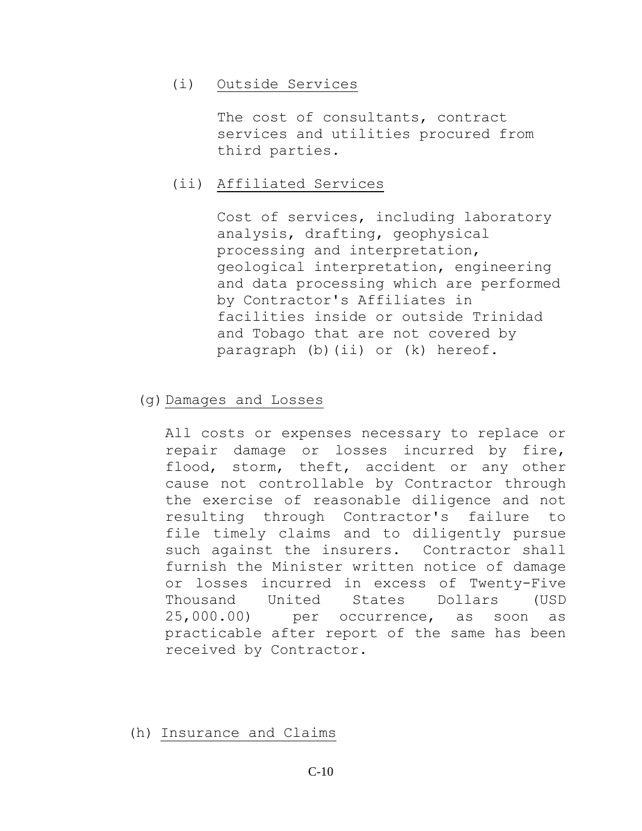### (i) Outside Services

The cost of consultants, contract services and utilities procured from third parties.

### (ii) Affiliated Services

Cost of services, including laboratory analysis, drafting, geophysical processing and interpretation, geological interpretation, engineering and data processing which are performed by Contractor's Affiliates in facilities inside or outside Trinidad and Tobago that are not covered by paragraph (b)(ii) or (k) hereof.

### (g)Damages and Losses

All costs or expenses necessary to replace or repair damage or losses incurred by fire, flood, storm, theft, accident or any other cause not controllable by Contractor through the exercise of reasonable diligence and not resulting through Contractor's failure to file timely claims and to diligently pursue such against the insurers. Contractor shall furnish the Minister written notice of damage or losses incurred in excess of Twenty-Five Thousand United States Dollars (USD 25,000.00) per occurrence, as soon as practicable after report of the same has been received by Contractor.

(h) Insurance and Claims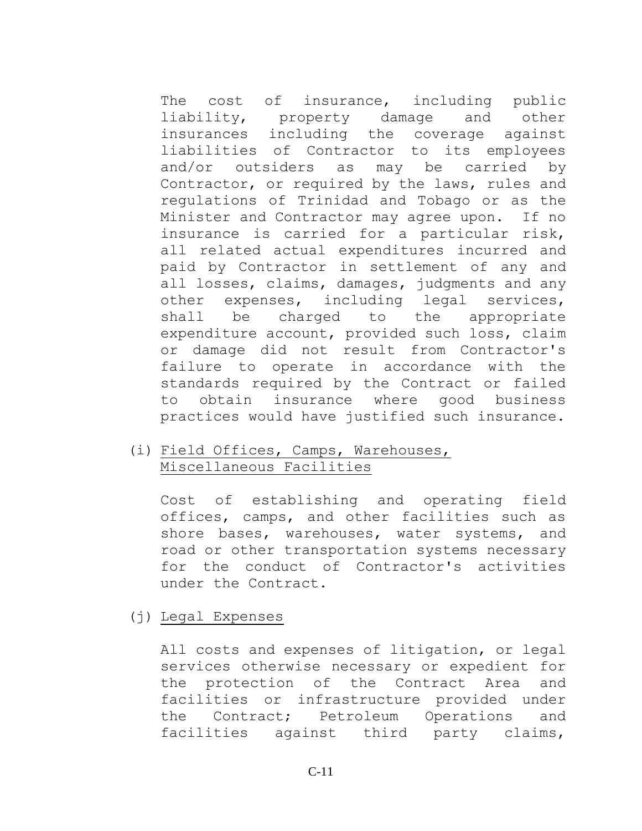The cost of insurance, including public liability, property damage and other insurances including the coverage against liabilities of Contractor to its employees and/or outsiders as may be carried by Contractor, or required by the laws, rules and regulations of Trinidad and Tobago or as the Minister and Contractor may agree upon. If no insurance is carried for a particular risk, all related actual expenditures incurred and paid by Contractor in settlement of any and all losses, claims, damages, judgments and any other expenses, including legal services, shall be charged to the appropriate expenditure account, provided such loss, claim or damage did not result from Contractor's failure to operate in accordance with the standards required by the Contract or failed to obtain insurance where good business practices would have justified such insurance.

# (i) Field Offices, Camps, Warehouses, Miscellaneous Facilities

Cost of establishing and operating field offices, camps, and other facilities such as shore bases, warehouses, water systems, and road or other transportation systems necessary for the conduct of Contractor's activities under the Contract.

#### (j) Legal Expenses

All costs and expenses of litigation, or legal services otherwise necessary or expedient for the protection of the Contract Area and facilities or infrastructure provided under the Contract; Petroleum Operations and facilities against third party claims,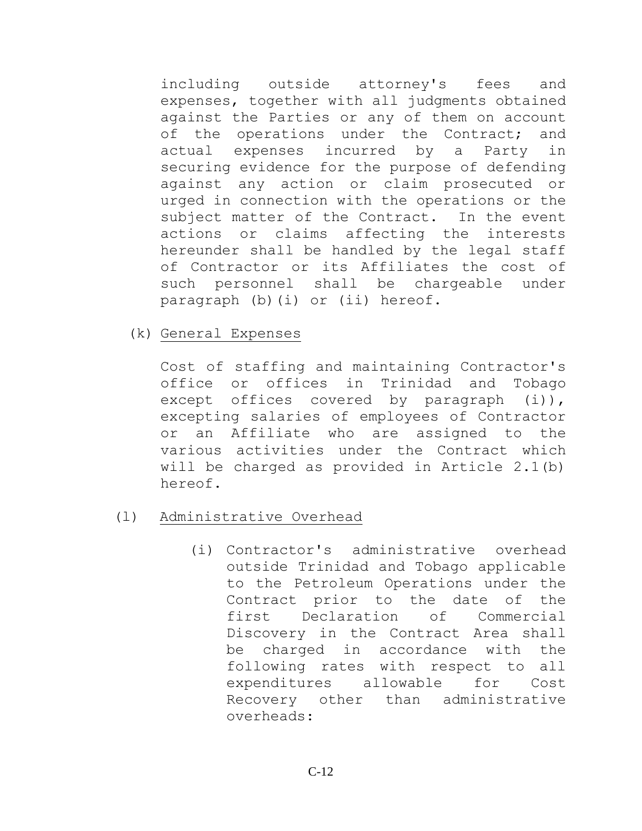including outside attorney's fees and expenses, together with all judgments obtained against the Parties or any of them on account of the operations under the Contract; and actual expenses incurred by a Party in securing evidence for the purpose of defending against any action or claim prosecuted or urged in connection with the operations or the subject matter of the Contract. In the event actions or claims affecting the interests hereunder shall be handled by the legal staff of Contractor or its Affiliates the cost of such personnel shall be chargeable under paragraph (b)(i) or (ii) hereof.

(k) General Expenses

Cost of staffing and maintaining Contractor's office or offices in Trinidad and Tobago except offices covered by paragraph (i)), excepting salaries of employees of Contractor or an Affiliate who are assigned to the various activities under the Contract which will be charged as provided in Article 2.1(b) hereof.

- (l) Administrative Overhead
	- (i) Contractor's administrative overhead outside Trinidad and Tobago applicable to the Petroleum Operations under the Contract prior to the date of the first Declaration of Commercial Discovery in the Contract Area shall be charged in accordance with the following rates with respect to all expenditures allowable for Cost Recovery other than administrative overheads: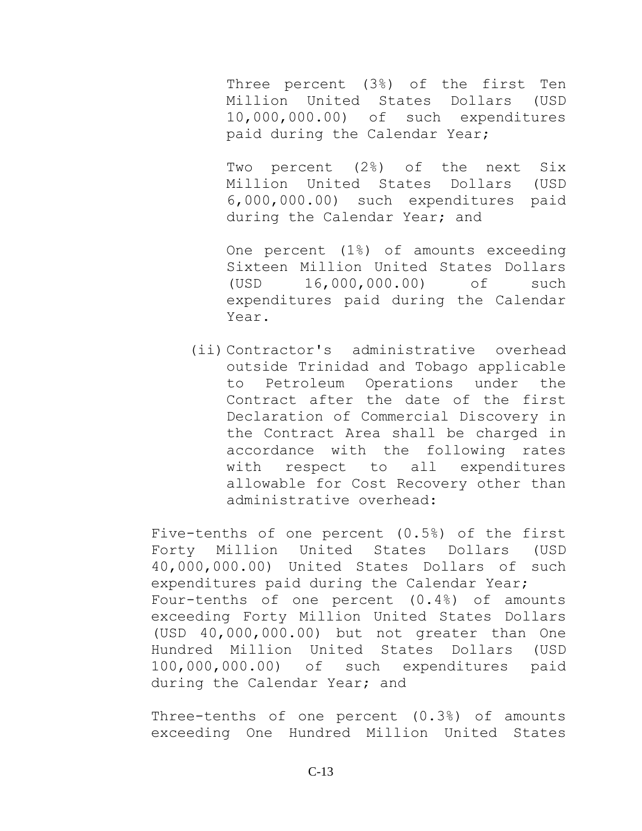Three percent (3%) of the first Ten Million United States Dollars (USD 10,000,000.00) of such expenditures paid during the Calendar Year;

Two percent (2%) of the next Six Million United States Dollars (USD 6,000,000.00) such expenditures paid during the Calendar Year; and

One percent (1%) of amounts exceeding Sixteen Million United States Dollars (USD 16,000,000.00) of such expenditures paid during the Calendar Year.

(ii) Contractor's administrative overhead outside Trinidad and Tobago applicable to Petroleum Operations under the Contract after the date of the first Declaration of Commercial Discovery in the Contract Area shall be charged in accordance with the following rates with respect to all expenditures allowable for Cost Recovery other than administrative overhead:

Five-tenths of one percent (0.5%) of the first Forty Million United States Dollars (USD 40,000,000.00) United States Dollars of such expenditures paid during the Calendar Year; Four-tenths of one percent (0.4%) of amounts exceeding Forty Million United States Dollars (USD 40,000,000.00) but not greater than One Hundred Million United States Dollars (USD 100,000,000.00) of such expenditures paid during the Calendar Year; and

Three-tenths of one percent (0.3%) of amounts exceeding One Hundred Million United States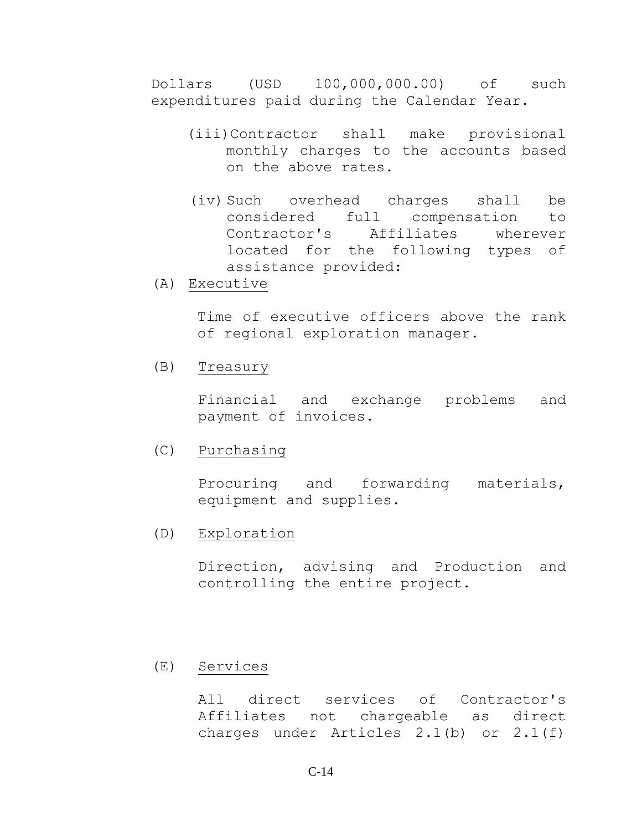Dollars (USD 100,000,000.00) of such expenditures paid during the Calendar Year.

- (iii)Contractor shall make provisional monthly charges to the accounts based on the above rates.
- (iv) Such overhead charges shall be considered full compensation to Contractor's Affiliates wherever located for the following types of assistance provided:
- (A) Executive

Time of executive officers above the rank of regional exploration manager.

(B) Treasury

Financial and exchange problems and payment of invoices.

(C) Purchasing

Procuring and forwarding materials, equipment and supplies.

(D) Exploration

Direction, advising and Production and controlling the entire project.

(E) Services

All direct services of Contractor's Affiliates not chargeable as direct charges under Articles 2.1(b) or 2.1(f)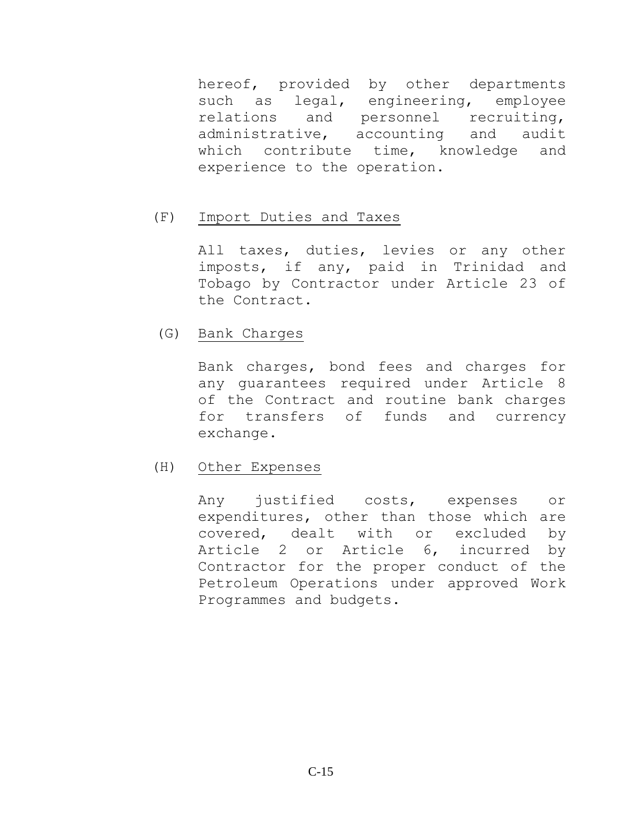hereof, provided by other departments such as legal, engineering, employee relations and personnel recruiting, administrative, accounting and audit which contribute time, knowledge and experience to the operation.

### (F) Import Duties and Taxes

All taxes, duties, levies or any other imposts, if any, paid in Trinidad and Tobago by Contractor under Article 23 of the Contract.

### (G) Bank Charges

Bank charges, bond fees and charges for any guarantees required under Article 8 of the Contract and routine bank charges for transfers of funds and currency exchange.

#### (H) Other Expenses

Any justified costs, expenses or expenditures, other than those which are covered, dealt with or excluded by Article 2 or Article 6, incurred by Contractor for the proper conduct of the Petroleum Operations under approved Work Programmes and budgets.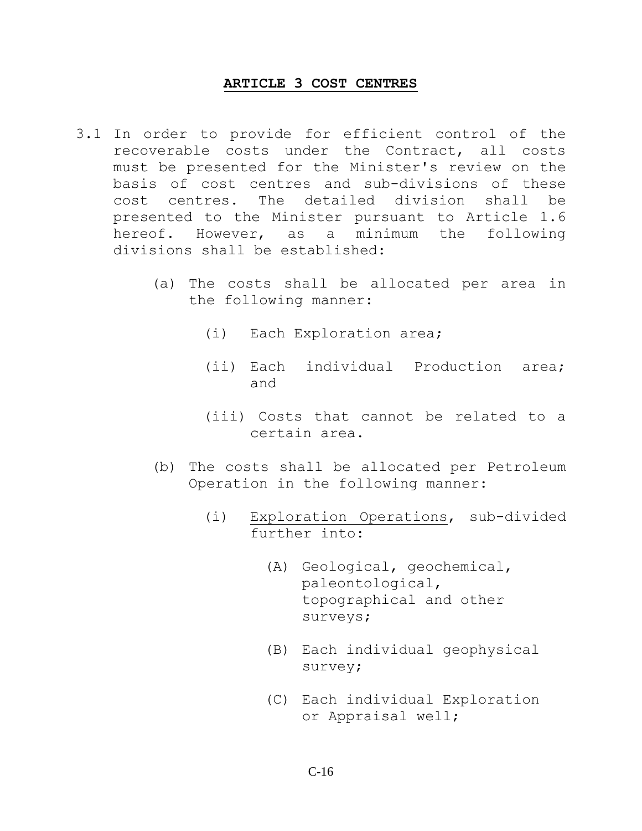#### **ARTICLE 3 COST CENTRES**

- <span id="page-15-0"></span>3.1 In order to provide for efficient control of the recoverable costs under the Contract, all costs must be presented for the Minister's review on the basis of cost centres and sub-divisions of these cost centres. The detailed division shall be presented to the Minister pursuant to Article 1.6 hereof. However, as a minimum the following divisions shall be established:
	- (a) The costs shall be allocated per area in the following manner:
		- (i) Each Exploration area;
		- (ii) Each individual Production area; and
		- (iii) Costs that cannot be related to a certain area.
	- (b) The costs shall be allocated per Petroleum Operation in the following manner:
		- (i) Exploration Operations, sub-divided further into:
			- (A) Geological, geochemical, paleontological, topographical and other surveys;
			- (B) Each individual geophysical survey;
			- (C) Each individual Exploration or Appraisal well;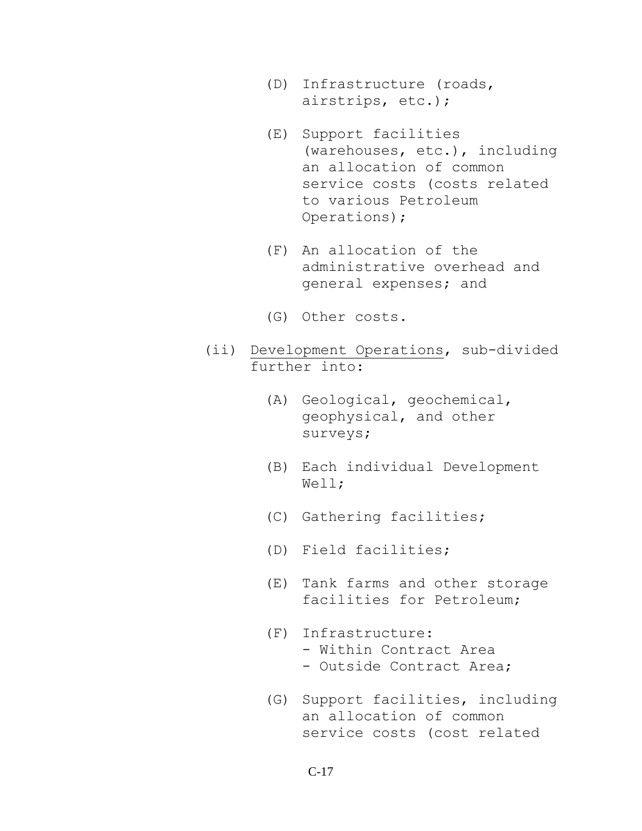- (D) Infrastructure (roads, airstrips, etc.);
- (E) Support facilities (warehouses, etc.), including an allocation of common service costs (costs related to various Petroleum Operations);
- (F) An allocation of the administrative overhead and general expenses; and
- (G) Other costs.
- (ii) Development Operations, sub-divided further into:
	- (A) Geological, geochemical, geophysical, and other surveys;
	- (B) Each individual Development Well;
	- (C) Gathering facilities;
	- (D) Field facilities;
	- (E) Tank farms and other storage facilities for Petroleum;
	- (F) Infrastructure:
		- Within Contract Area
		- Outside Contract Area;
	- (G) Support facilities, including an allocation of common service costs (cost related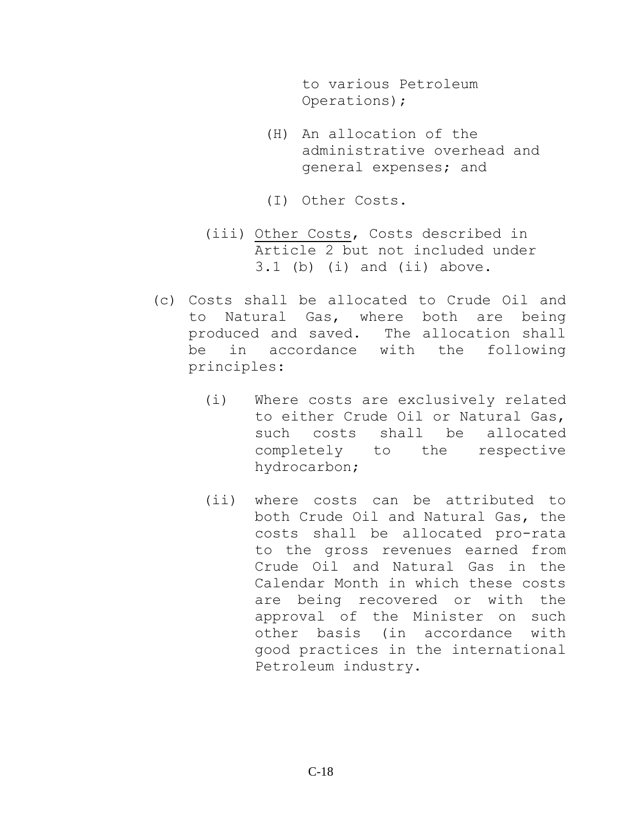to various Petroleum Operations);

- (H) An allocation of the administrative overhead and general expenses; and
- (I) Other Costs.
- (iii) Other Costs, Costs described in Article 2 but not included under 3.1 (b) (i) and (ii) above.
- (c) Costs shall be allocated to Crude Oil and to Natural Gas, where both are being produced and saved. The allocation shall be in accordance with the following principles:
	- (i) Where costs are exclusively related to either Crude Oil or Natural Gas, such costs shall be allocated completely to the respective hydrocarbon;
	- (ii) where costs can be attributed to both Crude Oil and Natural Gas, the costs shall be allocated pro-rata to the gross revenues earned from Crude Oil and Natural Gas in the Calendar Month in which these costs are being recovered or with the approval of the Minister on such other basis (in accordance with good practices in the international Petroleum industry.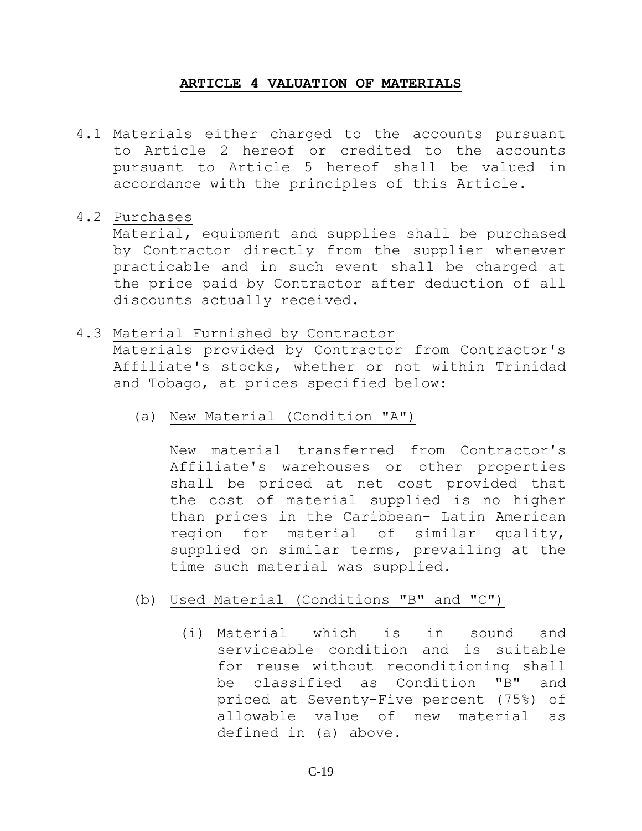#### **ARTICLE 4 VALUATION OF MATERIALS**

<span id="page-18-0"></span>4.1 Materials either charged to the accounts pursuant to Article 2 hereof or credited to the accounts pursuant to Article 5 hereof shall be valued in accordance with the principles of this Article.

## 4.2 Purchases

Material, equipment and supplies shall be purchased by Contractor directly from the supplier whenever practicable and in such event shall be charged at the price paid by Contractor after deduction of all discounts actually received.

### 4.3 Material Furnished by Contractor

Materials provided by Contractor from Contractor's Affiliate's stocks, whether or not within Trinidad and Tobago, at prices specified below:

(a) New Material (Condition "A")

New material transferred from Contractor's Affiliate's warehouses or other properties shall be priced at net cost provided that the cost of material supplied is no higher than prices in the Caribbean- Latin American region for material of similar quality, supplied on similar terms, prevailing at the time such material was supplied.

- (b) Used Material (Conditions "B" and "C")
	- (i) Material which is in sound and serviceable condition and is suitable for reuse without reconditioning shall be classified as Condition "B" and priced at Seventy-Five percent (75%) of allowable value of new material as defined in (a) above.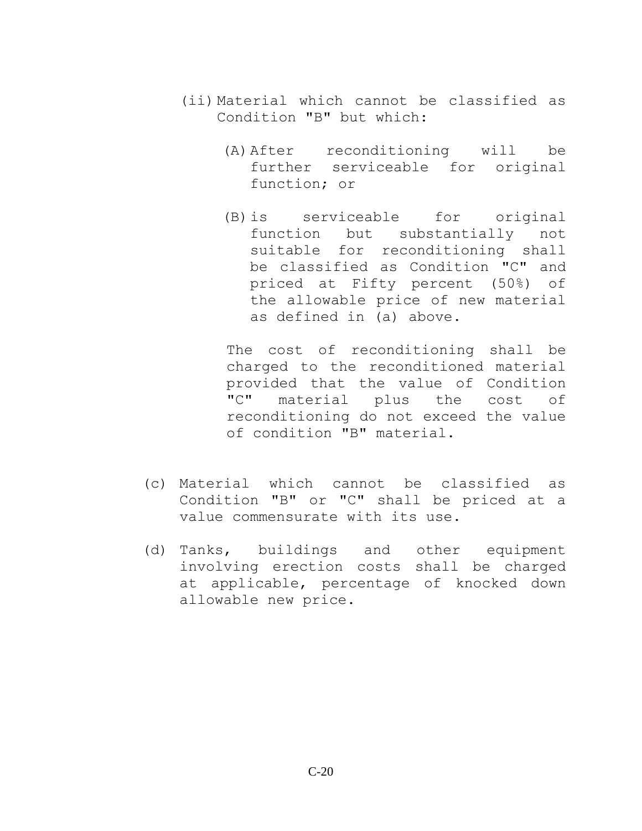- (ii) Material which cannot be classified as Condition "B" but which:
	- (A)After reconditioning will be further serviceable for original function; or
	- (B)is serviceable for original function but substantially not suitable for reconditioning shall be classified as Condition "C" and priced at Fifty percent (50%) of the allowable price of new material as defined in (a) above.

The cost of reconditioning shall be charged to the reconditioned material provided that the value of Condition "C" material plus the cost of reconditioning do not exceed the value of condition "B" material.

- (c) Material which cannot be classified as Condition "B" or "C" shall be priced at a value commensurate with its use.
- (d) Tanks, buildings and other equipment involving erection costs shall be charged at applicable, percentage of knocked down allowable new price.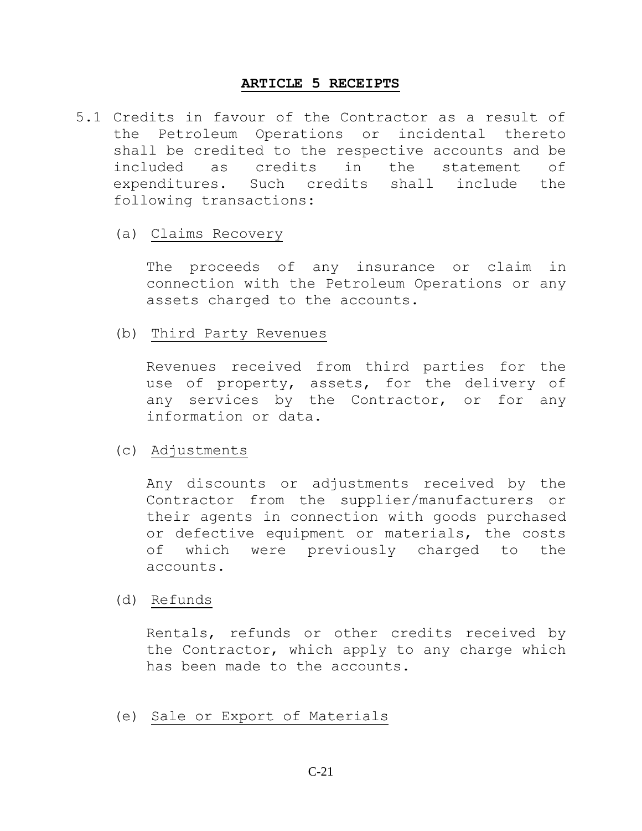#### **ARTICLE 5 RECEIPTS**

- <span id="page-20-0"></span>5.1 Credits in favour of the Contractor as a result of the Petroleum Operations or incidental thereto shall be credited to the respective accounts and be included as credits in the statement of expenditures. Such credits shall include the following transactions:
	- (a) Claims Recovery

The proceeds of any insurance or claim in connection with the Petroleum Operations or any assets charged to the accounts.

(b) Third Party Revenues

Revenues received from third parties for the use of property, assets, for the delivery of any services by the Contractor, or for any information or data.

## (c) Adjustments

Any discounts or adjustments received by the Contractor from the supplier/manufacturers or their agents in connection with goods purchased or defective equipment or materials, the costs of which were previously charged to the accounts.

### (d) Refunds

Rentals, refunds or other credits received by the Contractor, which apply to any charge which has been made to the accounts.

(e) Sale or Export of Materials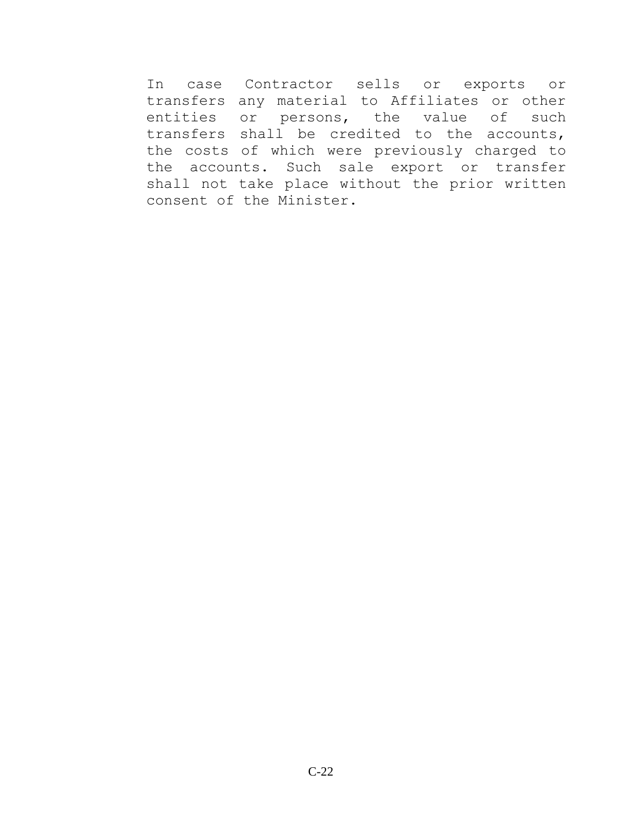In case Contractor sells or exports or transfers any material to Affiliates or other entities or persons, the value of such transfers shall be credited to the accounts, the costs of which were previously charged to the accounts. Such sale export or transfer shall not take place without the prior written consent of the Minister.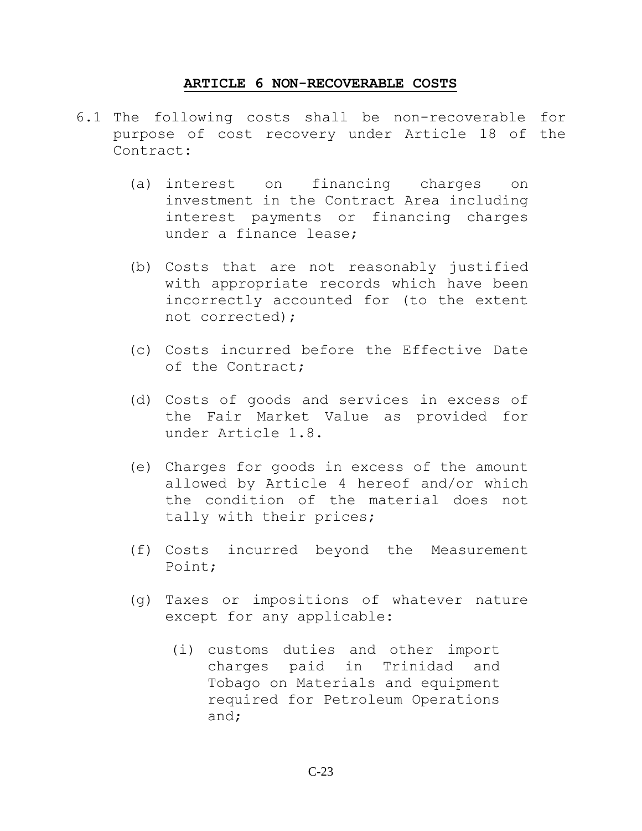#### **ARTICLE 6 NON-RECOVERABLE COSTS**

- <span id="page-22-0"></span>6.1 The following costs shall be non-recoverable for purpose of cost recovery under Article 18 of the Contract:
	- (a) interest on financing charges on investment in the Contract Area including interest payments or financing charges under a finance lease;
	- (b) Costs that are not reasonably justified with appropriate records which have been incorrectly accounted for (to the extent not corrected);
	- (c) Costs incurred before the Effective Date of the Contract;
	- (d) Costs of goods and services in excess of the Fair Market Value as provided for under Article 1.8.
	- (e) Charges for goods in excess of the amount allowed by Article 4 hereof and/or which the condition of the material does not tally with their prices;
	- (f) Costs incurred beyond the Measurement Point;
	- (g) Taxes or impositions of whatever nature except for any applicable:
		- (i) customs duties and other import charges paid in Trinidad and Tobago on Materials and equipment required for Petroleum Operations and;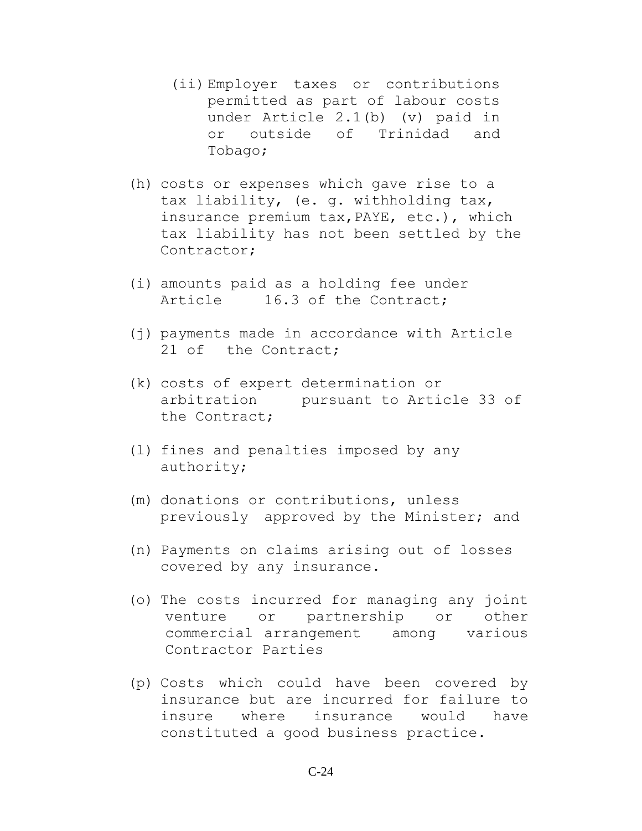- (ii) Employer taxes or contributions permitted as part of labour costs under Article 2.1(b) (v) paid in or outside of Trinidad and Tobago;
- (h) costs or expenses which gave rise to a tax liability, (e. g. withholding tax, insurance premium tax,PAYE, etc.), which tax liability has not been settled by the Contractor;
- (i) amounts paid as a holding fee under Article 16.3 of the Contract;
- (j) payments made in accordance with Article 21 of the Contract;
- (k) costs of expert determination or arbitration pursuant to Article 33 of the Contract;
- (l) fines and penalties imposed by any authority;
- (m) donations or contributions, unless previously approved by the Minister; and
- (n) Payments on claims arising out of losses covered by any insurance.
- (o) The costs incurred for managing any joint venture or partnership or other commercial arrangement among various Contractor Parties
- (p) Costs which could have been covered by insurance but are incurred for failure to insure where insurance would have constituted a good business practice.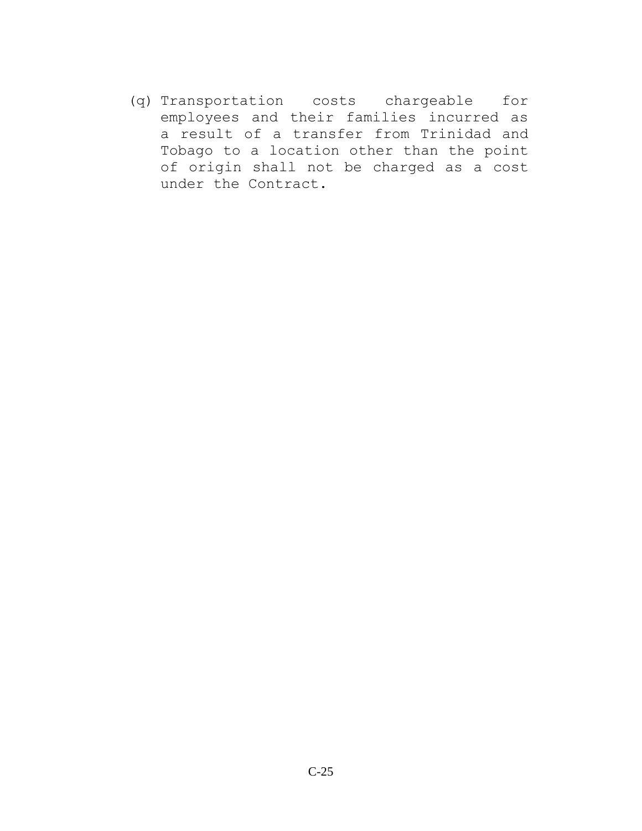(q) Transportation costs chargeable for employees and their families incurred as a result of a transfer from Trinidad and Tobago to a location other than the point of origin shall not be charged as a cost under the Contract.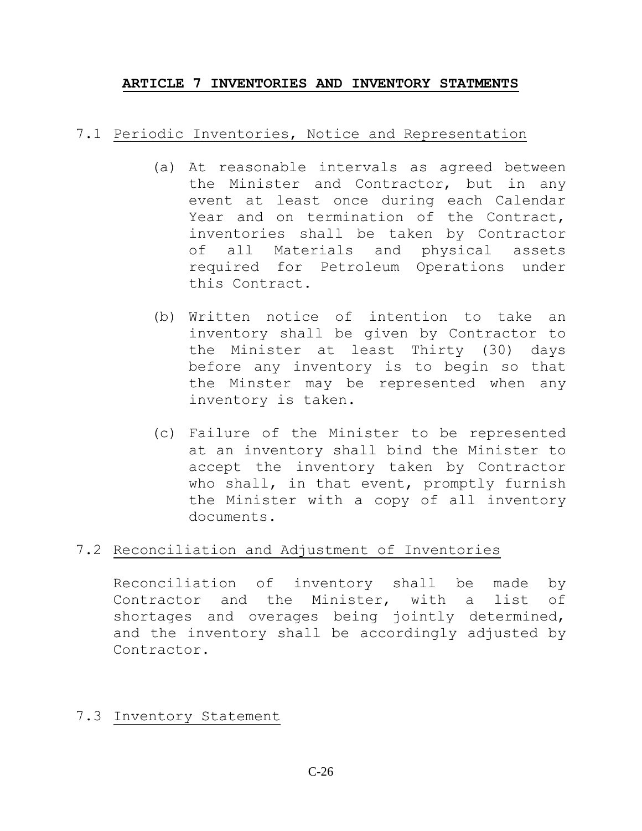## <span id="page-25-0"></span>**ARTICLE 7 INVENTORIES AND INVENTORY STATMENTS**

## 7.1 Periodic Inventories, Notice and Representation

- (a) At reasonable intervals as agreed between the Minister and Contractor, but in any event at least once during each Calendar Year and on termination of the Contract, inventories shall be taken by Contractor of all Materials and physical assets required for Petroleum Operations under this Contract.
- (b) Written notice of intention to take an inventory shall be given by Contractor to the Minister at least Thirty (30) days before any inventory is to begin so that the Minster may be represented when any inventory is taken.
- (c) Failure of the Minister to be represented at an inventory shall bind the Minister to accept the inventory taken by Contractor who shall, in that event, promptly furnish the Minister with a copy of all inventory documents.

## 7.2 Reconciliation and Adjustment of Inventories

Reconciliation of inventory shall be made by Contractor and the Minister, with a list of shortages and overages being jointly determined, and the inventory shall be accordingly adjusted by Contractor.

## 7.3 Inventory Statement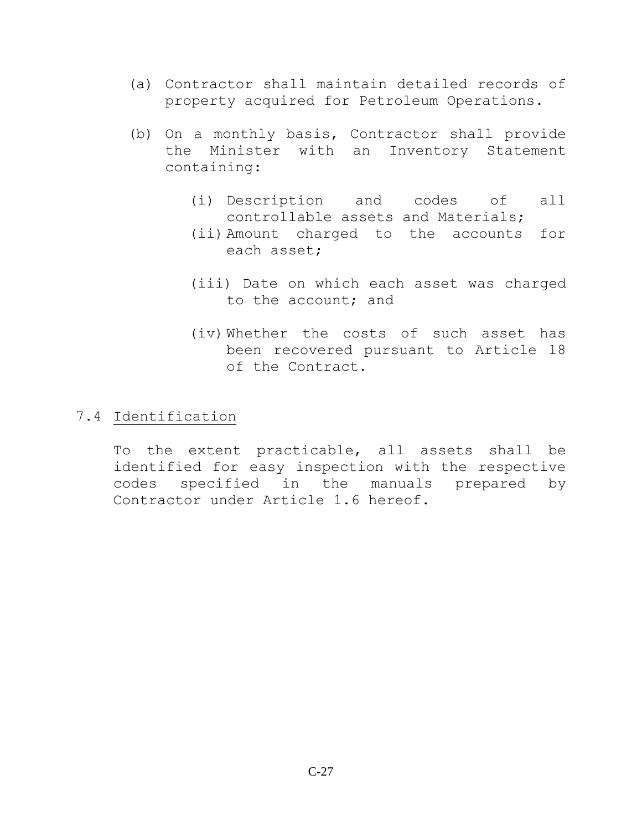- (a) Contractor shall maintain detailed records of property acquired for Petroleum Operations.
- (b) On a monthly basis, Contractor shall provide the Minister with an Inventory Statement containing:
	- (i) Description and codes of all controllable assets and Materials;
	- (ii) Amount charged to the accounts for each asset;
	- (iii) Date on which each asset was charged to the account; and
	- (iv) Whether the costs of such asset has been recovered pursuant to Article 18 of the Contract.

## 7.4 Identification

To the extent practicable, all assets shall be identified for easy inspection with the respective codes specified in the manuals prepared by Contractor under Article 1.6 hereof.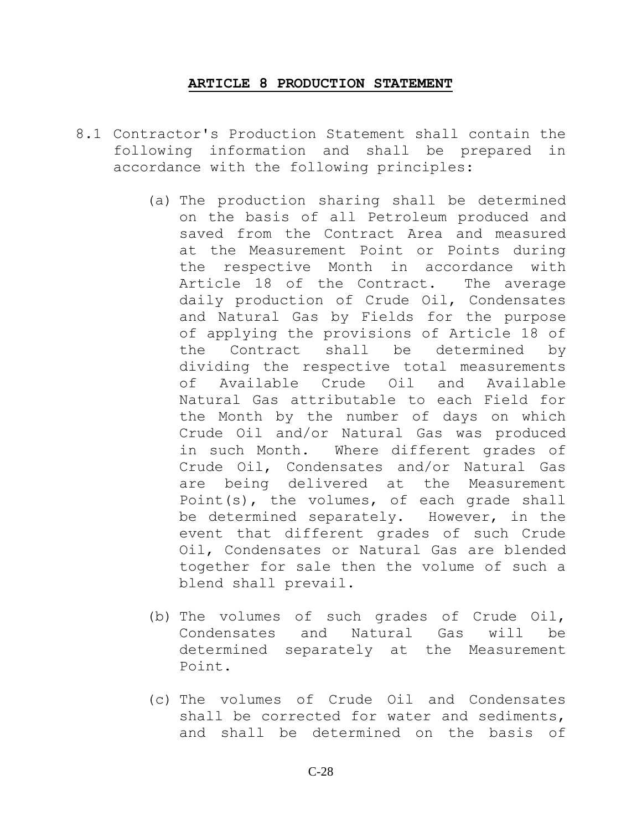#### **ARTICLE 8 PRODUCTION STATEMENT**

- <span id="page-27-0"></span>8.1 Contractor's Production Statement shall contain the following information and shall be prepared in accordance with the following principles:
	- (a) The production sharing shall be determined on the basis of all Petroleum produced and saved from the Contract Area and measured at the Measurement Point or Points during the respective Month in accordance with Article 18 of the Contract. The average daily production of Crude Oil, Condensates and Natural Gas by Fields for the purpose of applying the provisions of Article 18 of the Contract shall be determined by dividing the respective total measurements of Available Crude Oil and Available Natural Gas attributable to each Field for the Month by the number of days on which Crude Oil and/or Natural Gas was produced in such Month. Where different grades of Crude Oil, Condensates and/or Natural Gas are being delivered at the Measurement Point(s), the volumes, of each grade shall be determined separately. However, in the event that different grades of such Crude Oil, Condensates or Natural Gas are blended together for sale then the volume of such a blend shall prevail.
	- (b) The volumes of such grades of Crude Oil, Condensates and Natural Gas will be determined separately at the Measurement Point.
	- (c) The volumes of Crude Oil and Condensates shall be corrected for water and sediments, and shall be determined on the basis of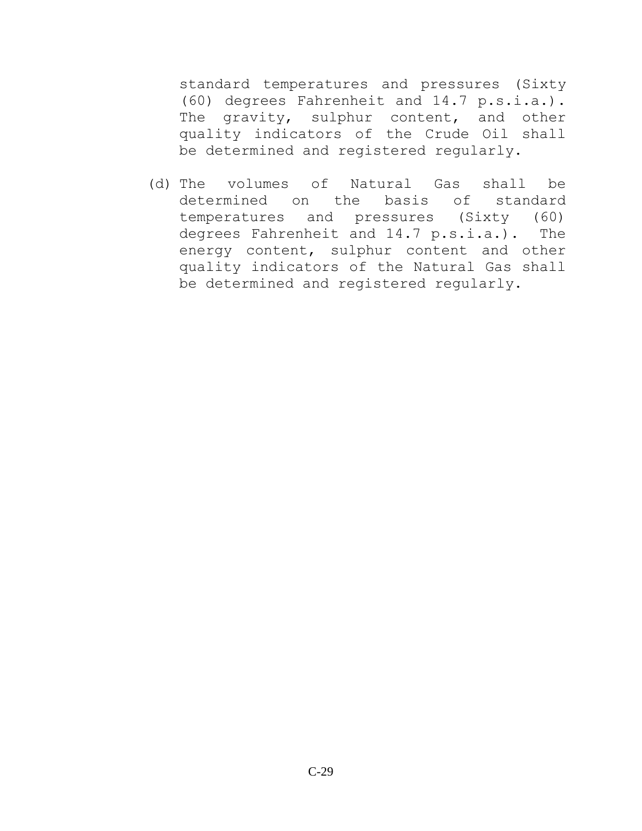standard temperatures and pressures (Sixty (60) degrees Fahrenheit and 14.7 p.s.i.a.). The gravity, sulphur content, and other quality indicators of the Crude Oil shall be determined and registered regularly.

(d) The volumes of Natural Gas shall be determined on the basis of standard temperatures and pressures (Sixty (60) degrees Fahrenheit and 14.7 p.s.i.a.). The energy content, sulphur content and other quality indicators of the Natural Gas shall be determined and registered regularly.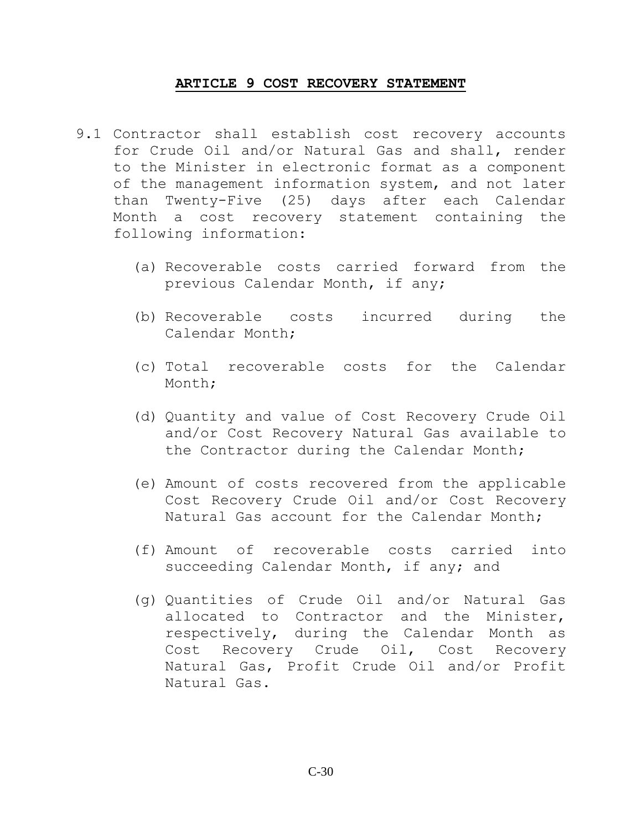### **ARTICLE 9 COST RECOVERY STATEMENT**

- <span id="page-29-0"></span>9.1 Contractor shall establish cost recovery accounts for Crude Oil and/or Natural Gas and shall, render to the Minister in electronic format as a component of the management information system, and not later than Twenty-Five (25) days after each Calendar Month a cost recovery statement containing the following information:
	- (a) Recoverable costs carried forward from the previous Calendar Month, if any;
	- (b) Recoverable costs incurred during the Calendar Month;
	- (c) Total recoverable costs for the Calendar Month;
	- (d) Quantity and value of Cost Recovery Crude Oil and/or Cost Recovery Natural Gas available to the Contractor during the Calendar Month;
	- (e) Amount of costs recovered from the applicable Cost Recovery Crude Oil and/or Cost Recovery Natural Gas account for the Calendar Month;
	- (f) Amount of recoverable costs carried into succeeding Calendar Month, if any; and
	- (g) Quantities of Crude Oil and/or Natural Gas allocated to Contractor and the Minister, respectively, during the Calendar Month as Cost Recovery Crude Oil, Cost Recovery Natural Gas, Profit Crude Oil and/or Profit Natural Gas.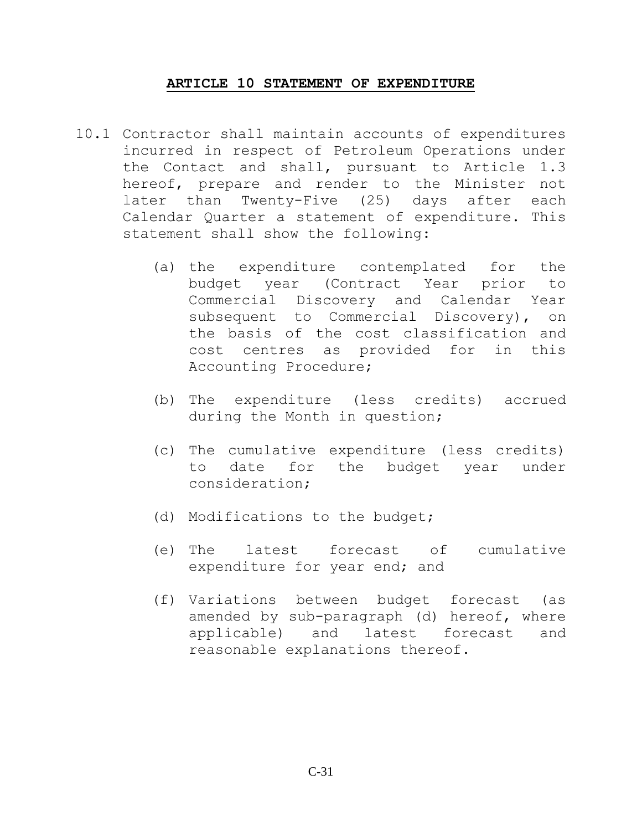#### **ARTICLE 10 STATEMENT OF EXPENDITURE**

- <span id="page-30-0"></span>10.1 Contractor shall maintain accounts of expenditures incurred in respect of Petroleum Operations under the Contact and shall, pursuant to Article 1.3 hereof, prepare and render to the Minister not later than Twenty-Five (25) days after each Calendar Quarter a statement of expenditure. This statement shall show the following:
	- (a) the expenditure contemplated for the budget year (Contract Year prior to Commercial Discovery and Calendar Year subsequent to Commercial Discovery), on the basis of the cost classification and cost centres as provided for in this Accounting Procedure;
	- (b) The expenditure (less credits) accrued during the Month in question;
	- (c) The cumulative expenditure (less credits) to date for the budget year under consideration;
	- (d) Modifications to the budget;
	- (e) The latest forecast of cumulative expenditure for year end; and
	- (f) Variations between budget forecast (as amended by sub-paragraph (d) hereof, where applicable) and latest forecast and reasonable explanations thereof.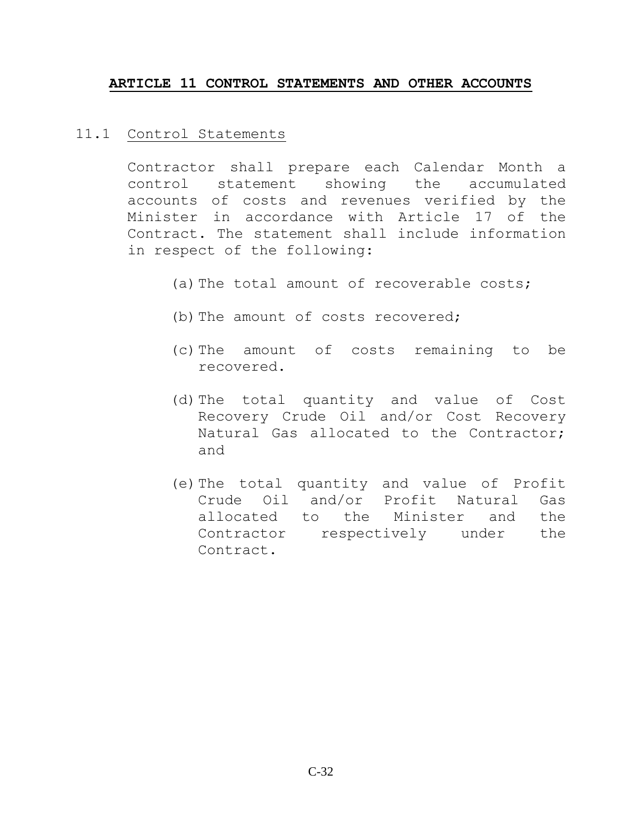### <span id="page-31-0"></span>**ARTICLE 11 CONTROL STATEMENTS AND OTHER ACCOUNTS**

### 11.1 Control Statements

Contractor shall prepare each Calendar Month a control statement showing the accumulated accounts of costs and revenues verified by the Minister in accordance with Article 17 of the Contract. The statement shall include information in respect of the following:

- (a) The total amount of recoverable costs;
- (b) The amount of costs recovered;
- (c)The amount of costs remaining to be recovered.
- (d)The total quantity and value of Cost Recovery Crude Oil and/or Cost Recovery Natural Gas allocated to the Contractor; and
- (e)The total quantity and value of Profit Crude Oil and/or Profit Natural Gas allocated to the Minister and the Contractor respectively under the Contract.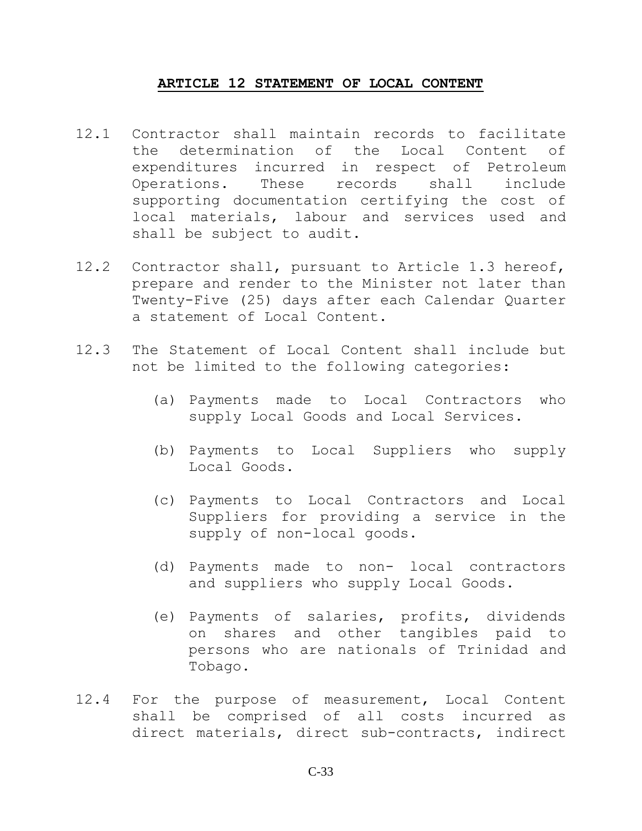#### **ARTICLE 12 STATEMENT OF LOCAL CONTENT**

- <span id="page-32-0"></span>12.1 Contractor shall maintain records to facilitate the determination of the Local Content of expenditures incurred in respect of Petroleum Operations. These records shall include supporting documentation certifying the cost of local materials, labour and services used and shall be subject to audit.
- 12.2 Contractor shall, pursuant to Article 1.3 hereof, prepare and render to the Minister not later than Twenty-Five (25) days after each Calendar Quarter a statement of Local Content.
- 12.3 The Statement of Local Content shall include but not be limited to the following categories:
	- (a) Payments made to Local Contractors who supply Local Goods and Local Services.
	- (b) Payments to Local Suppliers who supply Local Goods.
	- (c) Payments to Local Contractors and Local Suppliers for providing a service in the supply of non-local goods.
	- (d) Payments made to non- local contractors and suppliers who supply Local Goods.
	- (e) Payments of salaries, profits, dividends on shares and other tangibles paid to persons who are nationals of Trinidad and Tobago.
- 12.4 For the purpose of measurement, Local Content shall be comprised of all costs incurred as direct materials, direct sub-contracts, indirect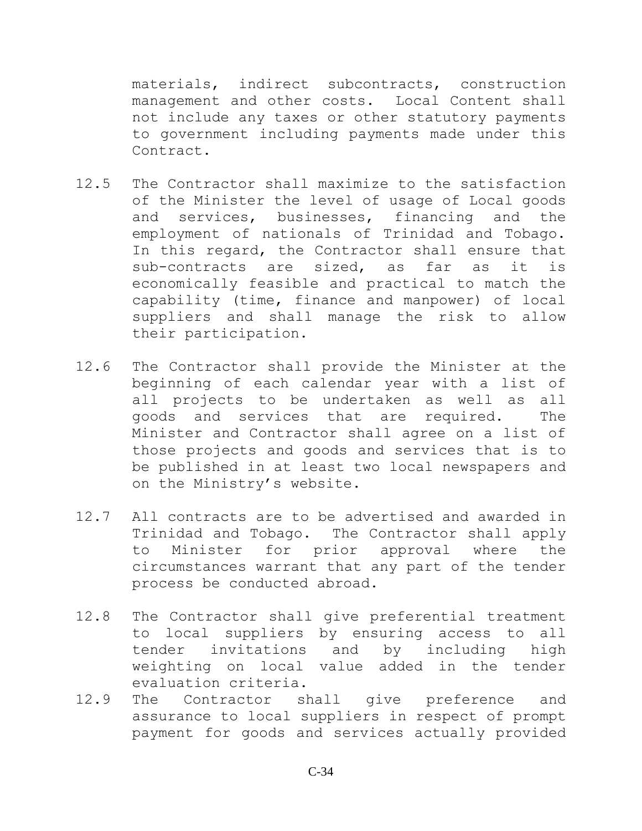materials, indirect subcontracts, construction management and other costs. Local Content shall not include any taxes or other statutory payments to government including payments made under this Contract.

- 12.5 The Contractor shall maximize to the satisfaction of the Minister the level of usage of Local goods and services, businesses, financing and the employment of nationals of Trinidad and Tobago. In this regard, the Contractor shall ensure that sub-contracts are sized, as far as it is economically feasible and practical to match the capability (time, finance and manpower) of local suppliers and shall manage the risk to allow their participation.
- 12.6 The Contractor shall provide the Minister at the beginning of each calendar year with a list of all projects to be undertaken as well as all goods and services that are required. The Minister and Contractor shall agree on a list of those projects and goods and services that is to be published in at least two local newspapers and on the Ministry's website.
- 12.7 All contracts are to be advertised and awarded in Trinidad and Tobago. The Contractor shall apply to Minister for prior approval where the circumstances warrant that any part of the tender process be conducted abroad.
- 12.8 The Contractor shall give preferential treatment to local suppliers by ensuring access to all tender invitations and by including high weighting on local value added in the tender evaluation criteria.
- 12.9 The Contractor shall give preference and assurance to local suppliers in respect of prompt payment for goods and services actually provided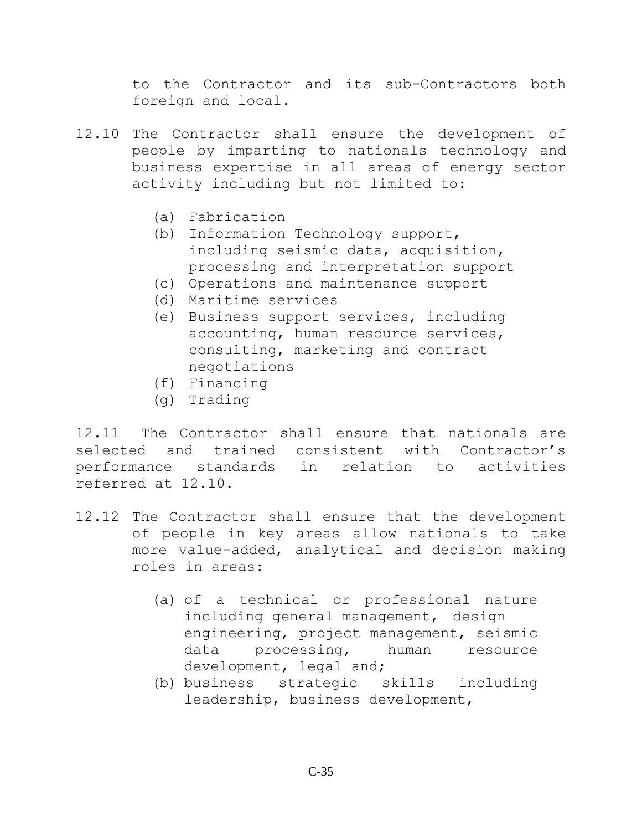to the Contractor and its sub-Contractors both foreign and local.

- 12.10 The Contractor shall ensure the development of people by imparting to nationals technology and business expertise in all areas of energy sector activity including but not limited to:
	- (a) Fabrication
	- (b) Information Technology support, including seismic data, acquisition, processing and interpretation support
	- (c) Operations and maintenance support
	- (d) Maritime services
	- (e) Business support services, including accounting, human resource services, consulting, marketing and contract negotiations
	- (f) Financing
	- (g) Trading

12.11 The Contractor shall ensure that nationals are selected and trained consistent with Contractor's performance standards in relation to activities referred at 12.10.

- 12.12 The Contractor shall ensure that the development of people in key areas allow nationals to take more value-added, analytical and decision making roles in areas:
	- (a) of a technical or professional nature including general management, design engineering, project management, seismic data processing, human resource development, legal and;
	- (b) business strategic skills including leadership, business development,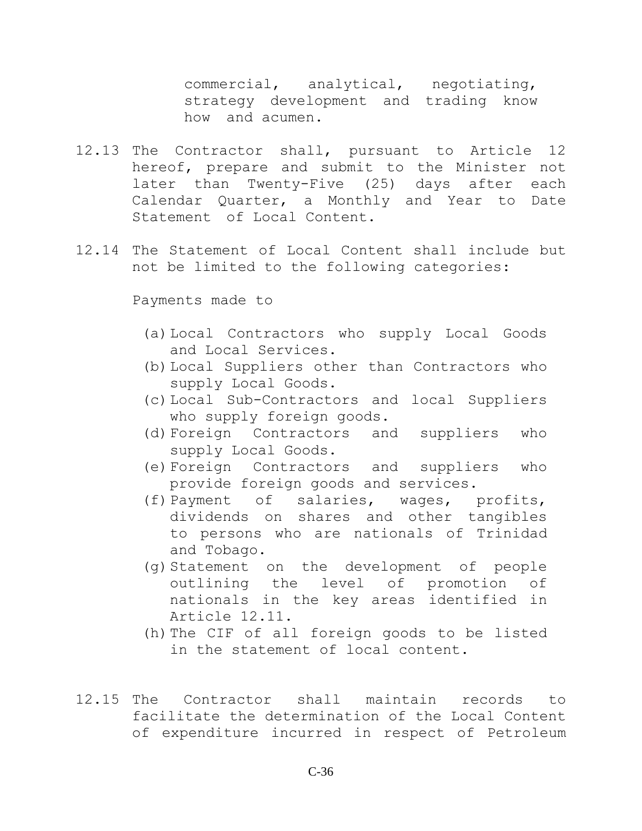commercial, analytical, negotiating, strategy development and trading know how and acumen.

- 12.13 The Contractor shall, pursuant to Article 12 hereof, prepare and submit to the Minister not later than Twenty-Five (25) days after each Calendar Quarter, a Monthly and Year to Date Statement of Local Content.
- 12.14 The Statement of Local Content shall include but not be limited to the following categories:

Payments made to

- (a)Local Contractors who supply Local Goods and Local Services.
- (b)Local Suppliers other than Contractors who supply Local Goods.
- (c)Local Sub-Contractors and local Suppliers who supply foreign goods.
- (d)Foreign Contractors and suppliers who supply Local Goods.
- (e)Foreign Contractors and suppliers who provide foreign goods and services.
- (f)Payment of salaries, wages, profits, dividends on shares and other tangibles to persons who are nationals of Trinidad and Tobago.
- (g)Statement on the development of people outlining the level of promotion of nationals in the key areas identified in Article 12.11.
- (h) The CIF of all foreign goods to be listed in the statement of local content.
- 12.15 The Contractor shall maintain records to facilitate the determination of the Local Content of expenditure incurred in respect of Petroleum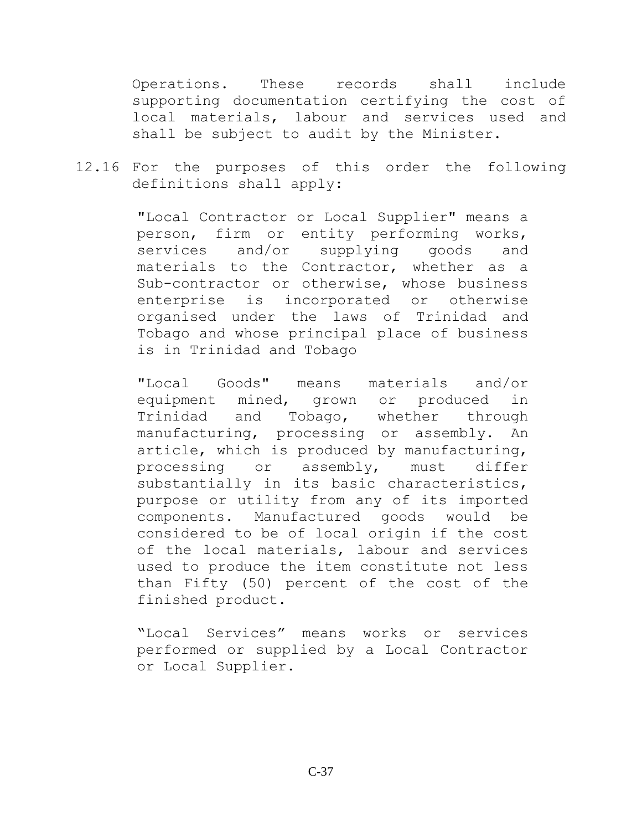Operations. These records shall include supporting documentation certifying the cost of local materials, labour and services used and shall be subject to audit by the Minister.

12.16 For the purposes of this order the following definitions shall apply:

> "Local Contractor or Local Supplier" means a person, firm or entity performing works, services and/or supplying goods and materials to the Contractor, whether as a Sub-contractor or otherwise, whose business enterprise is incorporated or otherwise organised under the laws of Trinidad and Tobago and whose principal place of business is in Trinidad and Tobago

> "Local Goods" means materials and/or equipment mined, grown or produced in Trinidad and Tobago, whether through manufacturing, processing or assembly. An article, which is produced by manufacturing, processing or assembly, must differ substantially in its basic characteristics, purpose or utility from any of its imported components. Manufactured goods would be considered to be of local origin if the cost of the local materials, labour and services used to produce the item constitute not less than Fifty (50) percent of the cost of the finished product.

> "Local Services" means works or services performed or supplied by a Local Contractor or Local Supplier.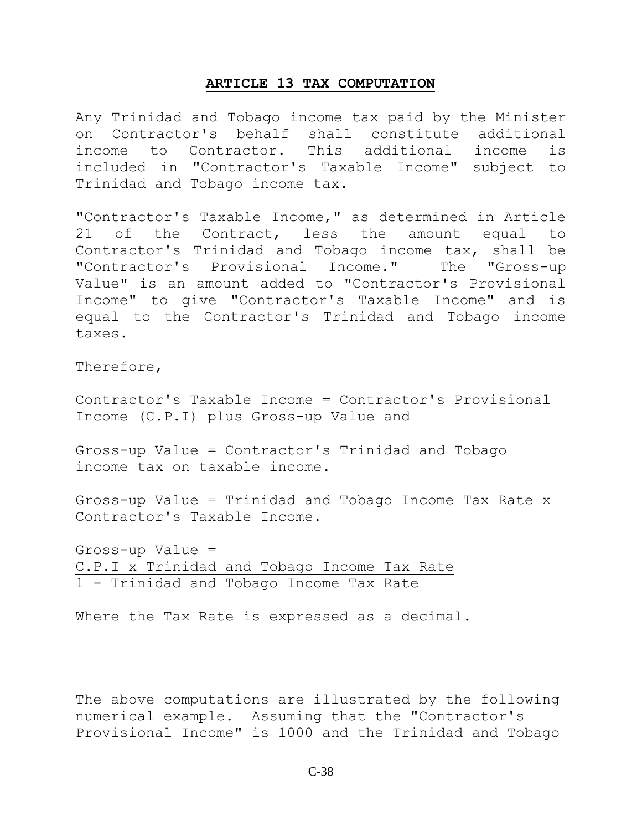#### **ARTICLE 13 TAX COMPUTATION**

<span id="page-37-0"></span>Any Trinidad and Tobago income tax paid by the Minister on Contractor's behalf shall constitute additional income to Contractor. This additional income is included in "Contractor's Taxable Income" subject to Trinidad and Tobago income tax.

"Contractor's Taxable Income," as determined in Article 21 of the Contract, less the amount equal to Contractor's Trinidad and Tobago income tax, shall be "Contractor's Provisional Income." The "Gross-up Value" is an amount added to "Contractor's Provisional Income" to give "Contractor's Taxable Income" and is equal to the Contractor's Trinidad and Tobago income taxes.

Therefore,

Contractor's Taxable Income = Contractor's Provisional Income (C.P.I) plus Gross-up Value and

Gross-up Value = Contractor's Trinidad and Tobago income tax on taxable income.

Gross-up Value = Trinidad and Tobago Income Tax Rate x Contractor's Taxable Income.

Gross-up Value = C.P.I x Trinidad and Tobago Income Tax Rate 1 - Trinidad and Tobago Income Tax Rate

Where the Tax Rate is expressed as a decimal.

The above computations are illustrated by the following numerical example. Assuming that the "Contractor's Provisional Income" is 1000 and the Trinidad and Tobago